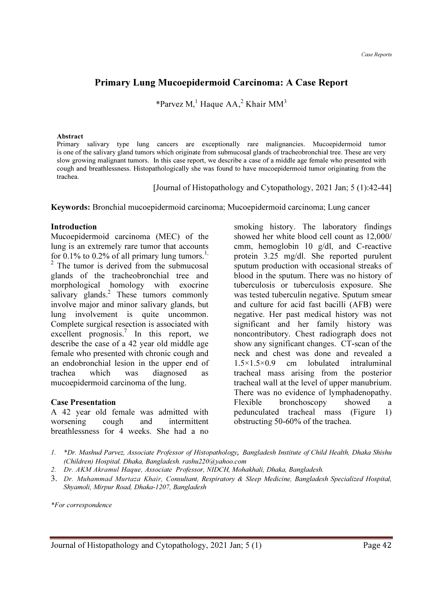# Primary Lung Mucoepidermoid Carcinoma: A Case Report

\*Parvez M,<sup>1</sup> Haque AA,<sup>2</sup> Khair MM<sup>3</sup>

#### Abstract

Primary salivary type lung cancers are exceptionally rare malignancies. Mucoepidermoid tumor is one of the salivary gland tumors which originate from submucosal glands of tracheobronchial tree. These are very slow growing malignant tumors. In this case report, we describe a case of a middle age female who presented with cough and breathlessness. Histopathologically she was found to have mucoepidermoid tumor originating from the trachea.

[Journal of Histopathology and Cytopathology, 2021 Jan; 5 (1):42-44]

Keywords: Bronchial mucoepidermoid carcinoma; Mucoepidermoid carcinoma; Lung cancer

#### Introduction

Mucoepidermoid carcinoma (MEC) of the lung is an extremely rare tumor that accounts for 0.1% to 0.2% of all primary lung tumors.<sup>1,</sup> <sup>2</sup> The tumor is derived from the submucosal glands of the tracheobronchial tree and morphological homology with exocrine salivary glands.<sup>2</sup> These tumors commonly involve major and minor salivary glands, but lung involvement is quite uncommon. Complete surgical resection is associated with excellent prognosis.<sup>7</sup> In this report, we describe the case of a 42 year old middle age female who presented with chronic cough and an endobronchial lesion in the upper end of trachea which was diagnosed as mucoepidermoid carcinoma of the lung.

#### Case Presentation

A 42 year old female was admitted with worsening cough and intermittent breathlessness for 4 weeks. She had a no smoking history. The laboratory findings showed her white blood cell count as 12,000/ cmm, hemoglobin 10 g/dl, and C-reactive protein 3.25 mg/dl. She reported purulent sputum production with occasional streaks of blood in the sputum. There was no history of tuberculosis or tuberculosis exposure. She was tested tuberculin negative. Sputum smear and culture for acid fast bacilli (AFB) were negative. Her past medical history was not significant and her family history was noncontributory. Chest radiograph does not show any significant changes. CT-scan of the neck and chest was done and revealed a 1.5×1.5×0.9 cm lobulated intraluminal tracheal mass arising from the posterior tracheal wall at the level of upper manubrium. There was no evidence of lymphadenopathy. Flexible bronchoscopy showed a pedunculated tracheal mass (Figure 1) obstructing 50-60% of the trachea.

- 2. Dr. AKM Akramul Haque, Associate Professor, NIDCH, Mohakhali, Dhaka, Bangladesh.
- 3. Dr. Muhammad Murtaza Khair, Consultant, Respiratory & Sleep Medicine, Bangladesh Specialized Hospital, Shyamoli, Mirpur Road, Dhaka-1207, Bangladesh

\*For correspondence

<sup>1.</sup> \*Dr. Mashud Parvez, Associate Professor of Histopathology, Bangladesh Institute of Child Health, Dhaka Shishu (Children) Hospital. Dhaka, Bangladesh. rashu220@yahoo.com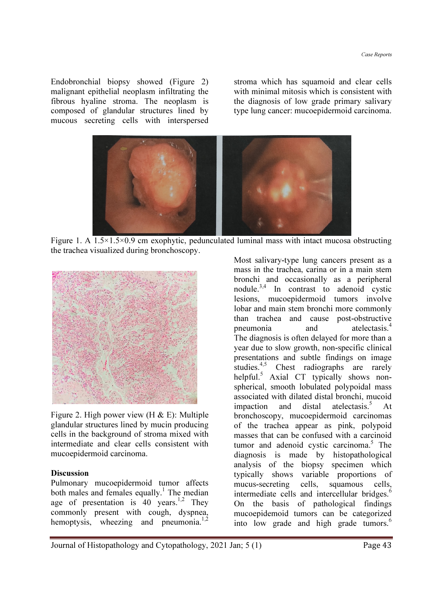Endobronchial biopsy showed (Figure 2) malignant epithelial neoplasm infiltrating the fibrous hyaline stroma. The neoplasm is composed of glandular structures lined by mucous secreting cells with interspersed stroma which has squamoid and clear cells with minimal mitosis which is consistent with the diagnosis of low grade primary salivary type lung cancer: mucoepidermoid carcinoma.



Figure 1. A 1.5×1.5×0.9 cm exophytic, pedunculated luminal mass with intact mucosa obstructing the trachea visualized during bronchoscopy.



Figure 2. High power view (H & E): Multiple glandular structures lined by mucin producing cells in the background of stroma mixed with intermediate and clear cells consistent with mucoepidermoid carcinoma.

# Discussion

Pulmonary mucoepidermoid tumor affects both males and females equally.<sup>1</sup> The median age of presentation is  $40$  years.<sup>1,2</sup> They commonly present with cough, dyspnea, hemoptysis, wheezing and pneumonia. $1,2$ 

Most salivary-type lung cancers present as a mass in the trachea, carina or in a main stem bronchi and occasionally as a peripheral nodule. $3,4$  In contrast to adenoid cystic lesions, mucoepidermoid tumors involve lobar and main stem bronchi more commonly than trachea and cause post-obstructive pneumonia and atelectasis.<sup>4</sup> The diagnosis is often delayed for more than a year due to slow growth, non-specific clinical presentations and subtle findings on image studies.<sup>4,5</sup> Chest radiographs are rarely helpful.<sup>5</sup> Axial CT typically shows nonspherical, smooth lobulated polypoidal mass associated with dilated distal bronchi, mucoid impaction and distal atelectasis. $5$  $\Delta$  + bronchoscopy, mucoepidermoid carcinomas of the trachea appear as pink, polypoid masses that can be confused with a carcinoid tumor and adenoid cystic carcinoma.<sup>5</sup> The diagnosis is made by histopathological analysis of the biopsy specimen which typically shows variable proportions of mucus-secreting cells, squamous cells, intermediate cells and intercellular bridges.<sup>6</sup> On the basis of pathological findings mucoepidemoid tumors can be categorized into low grade and high grade tumors.<sup>6</sup>

Journal of Histopathology and Cytopathology, 2021 Jan; 5 (1) Page 43